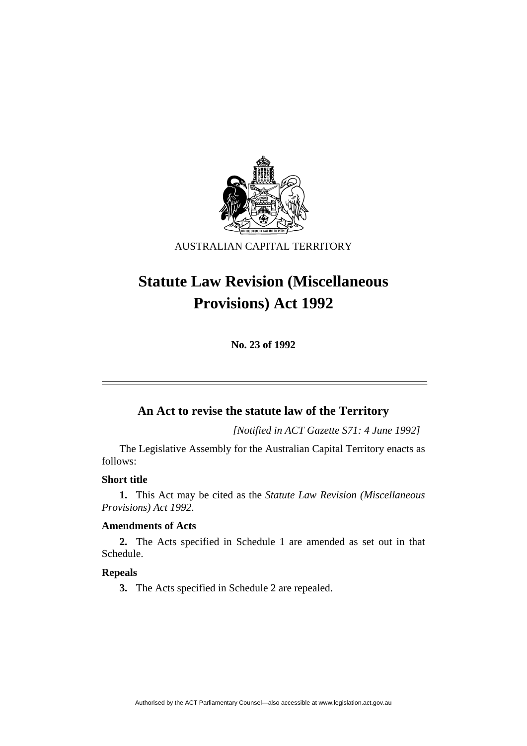

AUSTRALIAN CAPITAL TERRITORY

# **Statute Law Revision (Miscellaneous Provisions) Act 1992**

**No. 23 of 1992** 

# **An Act to revise the statute law of the Territory**

*[Notified in ACT Gazette S71: 4 June 1992]*

 The Legislative Assembly for the Australian Capital Territory enacts as follows:

# **Short title**

**1.** This Act may be cited as the *Statute Law Revision (Miscellaneous Provisions) Act 1992*.

# **Amendments of Acts**

**2.** The Acts specified in Schedule 1 are amended as set out in that Schedule.

# **Repeals**

**3.** The Acts specified in Schedule 2 are repealed.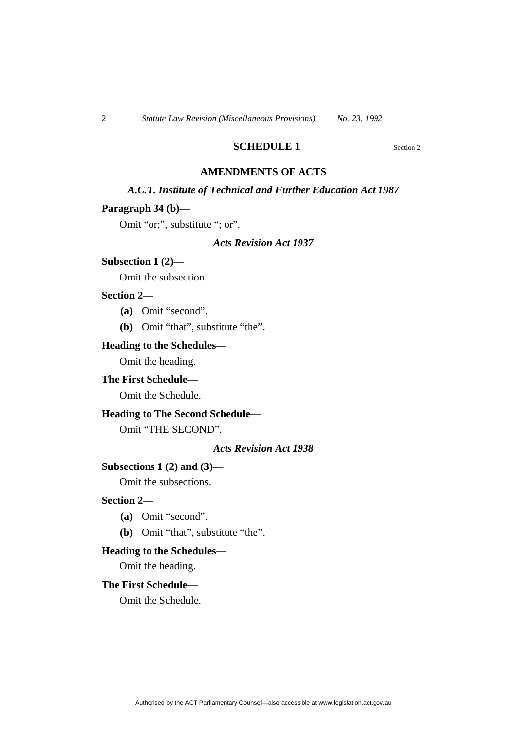# **SCHEDULE 1** Section 2

# **AMENDMENTS OF ACTS**

# *A.C.T. Institute of Technical and Further Education Act 1987*

## **Paragraph 34 (b)—**

Omit "or;", substitute "; or".

# *Acts Revision Act 1937*

#### **Subsection 1 (2)—**

Omit the subsection.

#### **Section 2—**

- **(a)** Omit "second".
- **(b)** Omit "that", substitute "the".

#### **Heading to the Schedules—**

Omit the heading.

# **The First Schedule—**

Omit the Schedule.

# **Heading to The Second Schedule—**

Omit "THE SECOND".

#### *Acts Revision Act 1938*

#### **Subsections 1 (2) and (3)—**

Omit the subsections.

#### **Section 2—**

- **(a)** Omit "second".
- **(b)** Omit "that", substitute "the".

# **Heading to the Schedules—**

Omit the heading.

#### **The First Schedule—**

Omit the Schedule.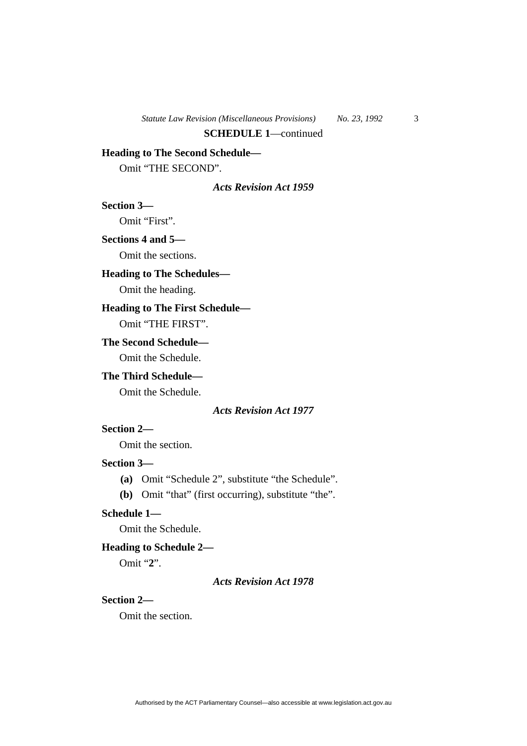# **Heading to The Second Schedule—**

Omit "THE SECOND".

#### *Acts Revision Act 1959*

**Section 3—** 

Omit "First".

# **Sections 4 and 5—**

Omit the sections.

# **Heading to The Schedules—**

Omit the heading.

# **Heading to The First Schedule—**

Omit "THE FIRST".

# **The Second Schedule—**

Omit the Schedule.

# **The Third Schedule—**

Omit the Schedule.

#### *Acts Revision Act 1977*

# **Section 2—**

Omit the section.

# **Section 3—**

**(a)** Omit "Schedule 2", substitute "the Schedule".

**(b)** Omit "that" (first occurring), substitute "the".

# **Schedule 1—**

Omit the Schedule.

# **Heading to Schedule 2—**

Omit "**2**".

#### *Acts Revision Act 1978*

# **Section 2—**

Omit the section.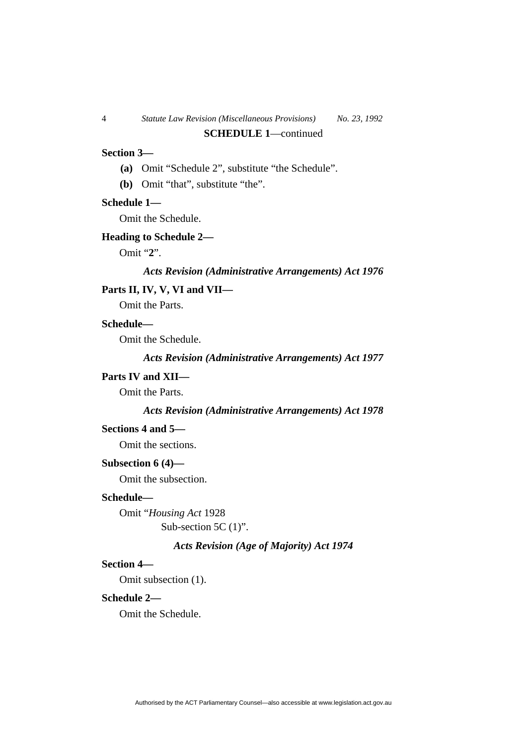# **Section 3—**

- **(a)** Omit "Schedule 2", substitute "the Schedule".
- **(b)** Omit "that", substitute "the".

#### **Schedule 1—**

Omit the Schedule.

#### **Heading to Schedule 2—**

Omit "**2**".

#### *Acts Revision (Administrative Arrangements) Act 1976*

# **Parts II, IV, V, VI and VII—**

Omit the Parts.

#### **Schedule—**

Omit the Schedule.

*Acts Revision (Administrative Arrangements) Act 1977* 

#### **Parts IV and XII—**

Omit the Parts.

#### *Acts Revision (Administrative Arrangements) Act 1978*

#### **Sections 4 and 5—**

Omit the sections.

# **Subsection 6 (4)—**

Omit the subsection.

#### **Schedule—**

Omit "*Housing Act* 1928 Sub-section 5C (1)".

# *Acts Revision (Age of Majority) Act 1974*

# **Section 4—**

Omit subsection (1).

# **Schedule 2—**

Omit the Schedule.

Authorised by the ACT Parliamentary Counsel—also accessible at www.legislation.act.gov.au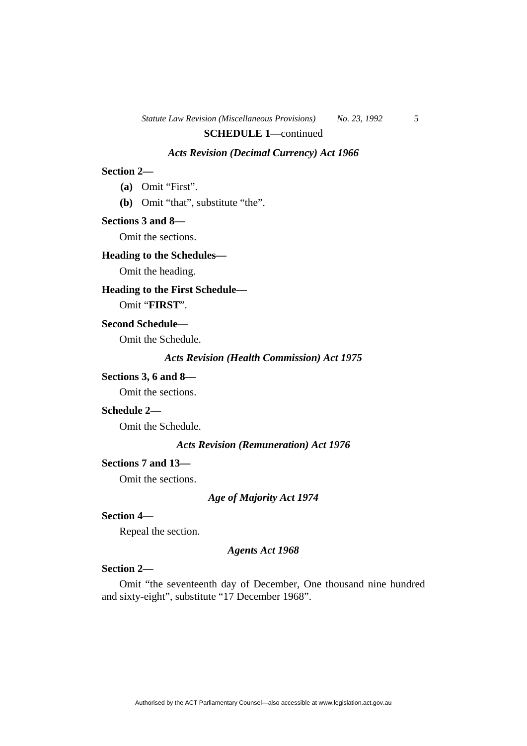# **SCHEDULE 1**—continued

# *Acts Revision (Decimal Currency) Act 1966*

# **Section 2—**

**(a)** Omit "First".

**(b)** Omit "that", substitute "the".

#### **Sections 3 and 8—**

Omit the sections.

# **Heading to the Schedules—**

Omit the heading.

# **Heading to the First Schedule—**

Omit "**FIRST**".

#### **Second Schedule—**

Omit the Schedule.

*Acts Revision (Health Commission) Act 1975* 

#### **Sections 3, 6 and 8—**

Omit the sections.

#### **Schedule 2—**

Omit the Schedule.

#### *Acts Revision (Remuneration) Act 1976*

# **Sections 7 and 13—**

Omit the sections.

#### *Age of Majority Act 1974*

# **Section 4—**

Repeal the section.

#### *Agents Act 1968*

# **Section 2—**

Omit "the seventeenth day of December, One thousand nine hundred and sixty-eight", substitute "17 December 1968".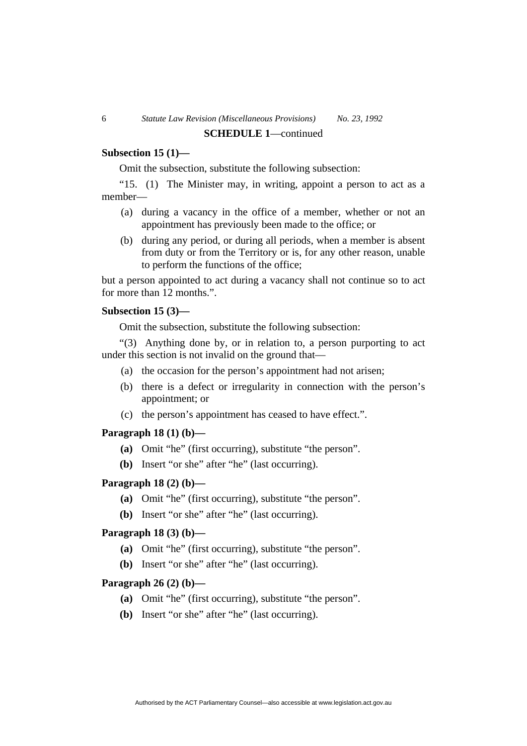# **Subsection 15 (1)—**

Omit the subsection, substitute the following subsection:

"15. (1) The Minister may, in writing, appoint a person to act as a member—

- (a) during a vacancy in the office of a member, whether or not an appointment has previously been made to the office; or
- (b) during any period, or during all periods, when a member is absent from duty or from the Territory or is, for any other reason, unable to perform the functions of the office;

but a person appointed to act during a vacancy shall not continue so to act for more than 12 months.".

#### **Subsection 15 (3)—**

Omit the subsection, substitute the following subsection:

"(3) Anything done by, or in relation to, a person purporting to act under this section is not invalid on the ground that—

- (a) the occasion for the person's appointment had not arisen;
- (b) there is a defect or irregularity in connection with the person's appointment; or
- (c) the person's appointment has ceased to have effect.".

# **Paragraph 18 (1) (b)—**

- **(a)** Omit "he" (first occurring), substitute "the person".
- **(b)** Insert "or she" after "he" (last occurring).

# **Paragraph 18 (2) (b)—**

- **(a)** Omit "he" (first occurring), substitute "the person".
- **(b)** Insert "or she" after "he" (last occurring).

# **Paragraph 18 (3) (b)—**

- **(a)** Omit "he" (first occurring), substitute "the person".
- **(b)** Insert "or she" after "he" (last occurring).

# **Paragraph 26 (2) (b)—**

- **(a)** Omit "he" (first occurring), substitute "the person".
- **(b)** Insert "or she" after "he" (last occurring).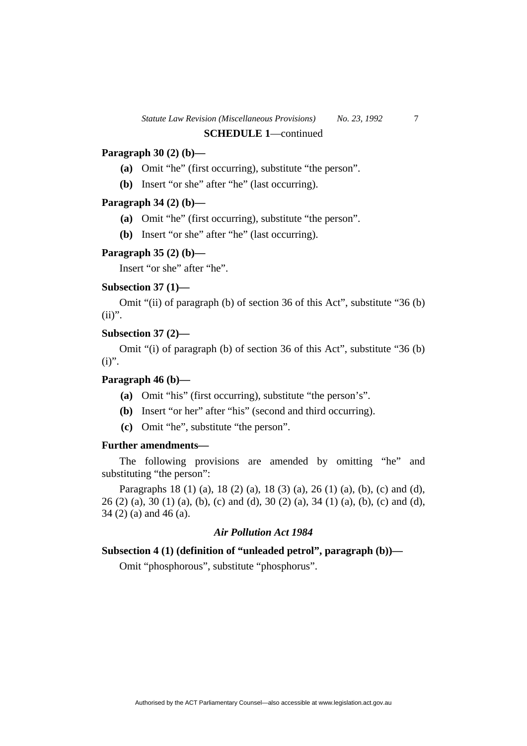# **Paragraph 30 (2) (b)—**

- **(a)** Omit "he" (first occurring), substitute "the person".
- **(b)** Insert "or she" after "he" (last occurring).

# **Paragraph 34 (2) (b)—**

- **(a)** Omit "he" (first occurring), substitute "the person".
- **(b)** Insert "or she" after "he" (last occurring).

#### **Paragraph 35 (2) (b)—**

Insert "or she" after "he".

# **Subsection 37 (1)—**

Omit "(ii) of paragraph (b) of section 36 of this Act", substitute "36 (b)  $(ii)$ ".

# **Subsection 37 (2)—**

Omit "(i) of paragraph (b) of section 36 of this Act", substitute "36 (b)  $(i)$ ".

#### **Paragraph 46 (b)—**

- **(a)** Omit "his" (first occurring), substitute "the person's".
- **(b)** Insert "or her" after "his" (second and third occurring).
- **(c)** Omit "he", substitute "the person".

# **Further amendments—**

The following provisions are amended by omitting "he" and substituting "the person":

Paragraphs 18 (1) (a), 18 (2) (a), 18 (3) (a), 26 (1) (a), (b), (c) and (d), 26 (2) (a), 30 (1) (a), (b), (c) and (d), 30 (2) (a), 34 (1) (a), (b), (c) and (d), 34 (2) (a) and 46 (a).

# *Air Pollution Act 1984*

# **Subsection 4 (1) (definition of "unleaded petrol", paragraph (b))—**

Omit "phosphorous", substitute "phosphorus".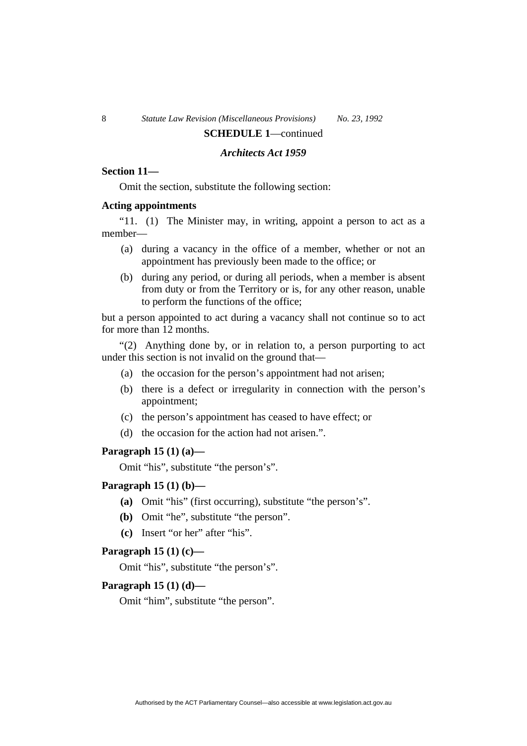# **SCHEDULE 1**—continued

# *Architects Act 1959*

# **Section 11—**

Omit the section, substitute the following section:

#### **Acting appointments**

"11. (1) The Minister may, in writing, appoint a person to act as a member—

- (a) during a vacancy in the office of a member, whether or not an appointment has previously been made to the office; or
- (b) during any period, or during all periods, when a member is absent from duty or from the Territory or is, for any other reason, unable to perform the functions of the office;

but a person appointed to act during a vacancy shall not continue so to act for more than 12 months.

"(2) Anything done by, or in relation to, a person purporting to act under this section is not invalid on the ground that—

- (a) the occasion for the person's appointment had not arisen;
- (b) there is a defect or irregularity in connection with the person's appointment;
- (c) the person's appointment has ceased to have effect; or
- (d) the occasion for the action had not arisen.".

# **Paragraph 15 (1) (a)—**

Omit "his", substitute "the person's".

# **Paragraph 15 (1) (b)—**

- **(a)** Omit "his" (first occurring), substitute "the person's".
- **(b)** Omit "he", substitute "the person".
- **(c)** Insert "or her" after "his".

## **Paragraph 15 (1) (c)—**

Omit "his", substitute "the person's".

# **Paragraph 15 (1) (d)—**

Omit "him", substitute "the person".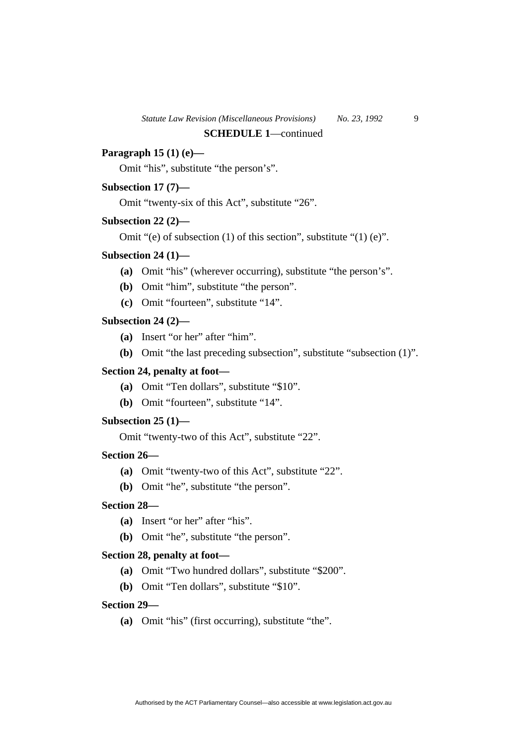# **Paragraph 15 (1) (e)—**

Omit "his", substitute "the person's".

#### **Subsection 17 (7)—**

Omit "twenty-six of this Act", substitute "26".

#### **Subsection 22 (2)—**

Omit "(e) of subsection (1) of this section", substitute "(1) (e)".

#### **Subsection 24 (1)—**

- **(a)** Omit "his" (wherever occurring), substitute "the person's".
- **(b)** Omit "him", substitute "the person".
- **(c)** Omit "fourteen", substitute "14".

#### **Subsection 24 (2)—**

- **(a)** Insert "or her" after "him".
- **(b)** Omit "the last preceding subsection", substitute "subsection (1)".

# **Section 24, penalty at foot—**

- **(a)** Omit "Ten dollars", substitute "\$10".
- **(b)** Omit "fourteen", substitute "14".

# **Subsection 25 (1)—**

Omit "twenty-two of this Act", substitute "22".

# **Section 26—**

- **(a)** Omit "twenty-two of this Act", substitute "22".
- **(b)** Omit "he", substitute "the person".

# **Section 28—**

- **(a)** Insert "or her" after "his".
- **(b)** Omit "he", substitute "the person".

#### **Section 28, penalty at foot—**

- **(a)** Omit "Two hundred dollars", substitute "\$200".
- **(b)** Omit "Ten dollars", substitute "\$10".

# **Section 29—**

**(a)** Omit "his" (first occurring), substitute "the".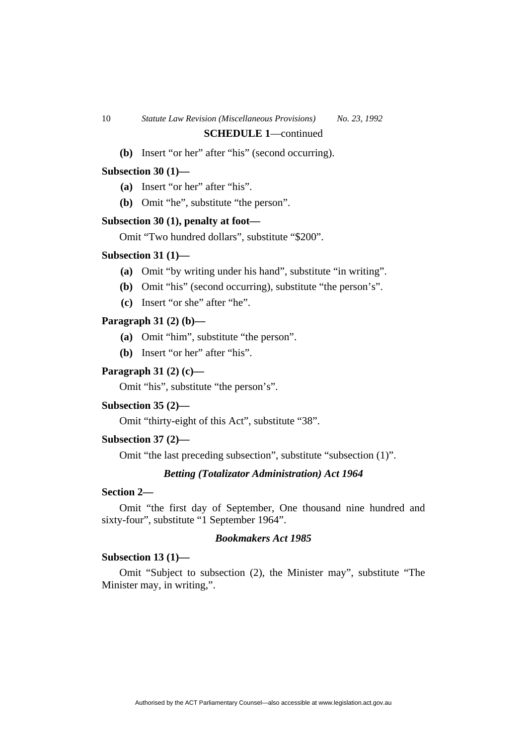# **(b)** Insert "or her" after "his" (second occurring).

#### **Subsection 30 (1)—**

**(a)** Insert "or her" after "his".

**(b)** Omit "he", substitute "the person".

#### **Subsection 30 (1), penalty at foot—**

Omit "Two hundred dollars", substitute "\$200".

#### **Subsection 31 (1)—**

- **(a)** Omit "by writing under his hand", substitute "in writing".
- **(b)** Omit "his" (second occurring), substitute "the person's".
- **(c)** Insert "or she" after "he".

#### **Paragraph 31 (2) (b)—**

- **(a)** Omit "him", substitute "the person".
- **(b)** Insert "or her" after "his".

# **Paragraph 31 (2) (c)—**

Omit "his", substitute "the person's".

#### **Subsection 35 (2)—**

Omit "thirty-eight of this Act", substitute "38".

#### **Subsection 37 (2)—**

Omit "the last preceding subsection", substitute "subsection (1)".

#### *Betting (Totalizator Administration) Act 1964*

# **Section 2—**

Omit "the first day of September, One thousand nine hundred and sixty-four", substitute "1 September 1964".

# *Bookmakers Act 1985*

#### **Subsection 13 (1)—**

Omit "Subject to subsection (2), the Minister may", substitute "The Minister may, in writing,".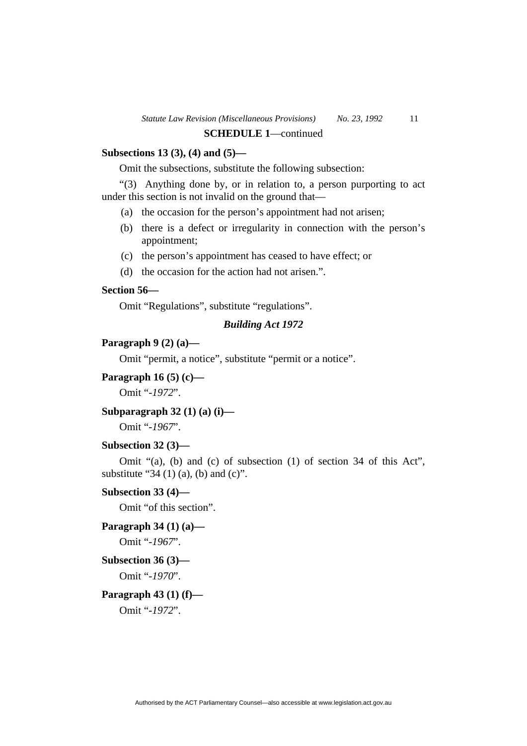# **Subsections 13 (3), (4) and (5)—**

Omit the subsections, substitute the following subsection:

"(3) Anything done by, or in relation to, a person purporting to act under this section is not invalid on the ground that—

- (a) the occasion for the person's appointment had not arisen;
- (b) there is a defect or irregularity in connection with the person's appointment;
- (c) the person's appointment has ceased to have effect; or
- (d) the occasion for the action had not arisen.".

# **Section 56—**

Omit "Regulations", substitute "regulations".

# *Building Act 1972*

#### **Paragraph 9 (2) (a)—**

Omit "permit, a notice", substitute "permit or a notice".

# **Paragraph 16 (5) (c)—**

Omit "*-1972*".

# **Subparagraph 32 (1) (a) (i)—**

Omit "*-1967*".

### **Subsection 32 (3)—**

Omit "(a), (b) and (c) of subsection (1) of section 34 of this Act", substitute "34 (1) (a), (b) and (c)".

#### **Subsection 33 (4)—**

Omit "of this section".

# **Paragraph 34 (1) (a)—**

Omit "*-1967*".

#### **Subsection 36 (3)—**

Omit "*-1970*".

#### **Paragraph 43 (1) (f)—**

Omit "*-1972*".

Authorised by the ACT Parliamentary Counsel—also accessible at www.legislation.act.gov.au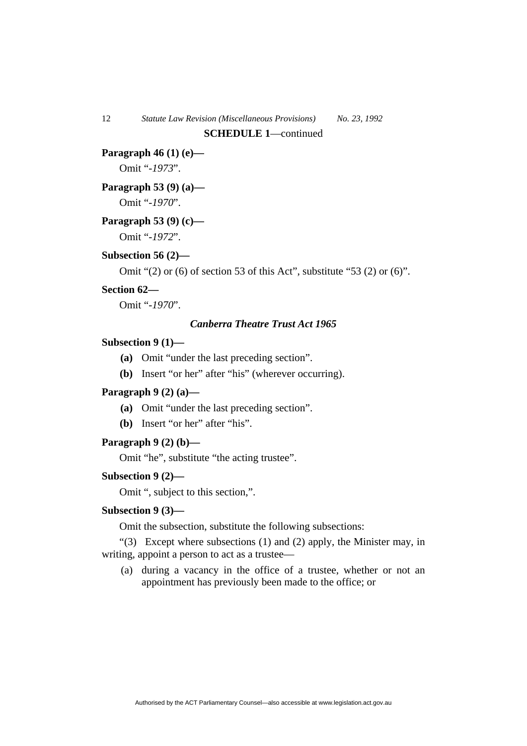#### **Paragraph 46 (1) (e)—**

Omit "*-1973*".

# **Paragraph 53 (9) (a)—**

Omit "*-1970*".

# **Paragraph 53 (9) (c)—**

Omit "*-1972*".

# **Subsection 56 (2)—**

Omit "(2) or (6) of section 53 of this Act", substitute "53 (2) or (6)".

# **Section 62—**

Omit "*-1970*".

# *Canberra Theatre Trust Act 1965*

# **Subsection 9 (1)—**

- **(a)** Omit "under the last preceding section".
- **(b)** Insert "or her" after "his" (wherever occurring).

#### **Paragraph 9 (2) (a)—**

- **(a)** Omit "under the last preceding section".
- **(b)** Insert "or her" after "his".

#### **Paragraph 9 (2) (b)—**

Omit "he", substitute "the acting trustee".

#### **Subsection 9 (2)—**

Omit ", subject to this section,".

# **Subsection 9 (3)—**

Omit the subsection, substitute the following subsections:

" $(3)$  Except where subsections  $(1)$  and  $(2)$  apply, the Minister may, in writing, appoint a person to act as a trustee—

 (a) during a vacancy in the office of a trustee, whether or not an appointment has previously been made to the office; or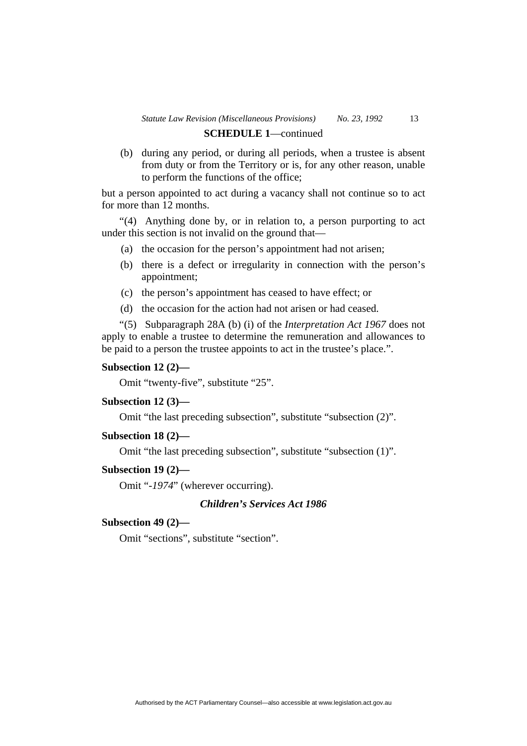# **SCHEDULE 1**—continued

 (b) during any period, or during all periods, when a trustee is absent from duty or from the Territory or is, for any other reason, unable to perform the functions of the office;

but a person appointed to act during a vacancy shall not continue so to act for more than 12 months.

"(4) Anything done by, or in relation to, a person purporting to act under this section is not invalid on the ground that—

- (a) the occasion for the person's appointment had not arisen;
- (b) there is a defect or irregularity in connection with the person's appointment;
- (c) the person's appointment has ceased to have effect; or
- (d) the occasion for the action had not arisen or had ceased.

"(5) Subparagraph 28A (b) (i) of the *Interpretation Act 1967* does not apply to enable a trustee to determine the remuneration and allowances to be paid to a person the trustee appoints to act in the trustee's place.".

#### **Subsection 12 (2)—**

Omit "twenty-five", substitute "25".

#### **Subsection 12 (3)—**

Omit "the last preceding subsection", substitute "subsection (2)".

#### **Subsection 18 (2)—**

Omit "the last preceding subsection", substitute "subsection (1)".

# **Subsection 19 (2)—**

Omit "*-1974*" (wherever occurring).

# *Children's Services Act 1986*

#### **Subsection 49 (2)—**

Omit "sections", substitute "section".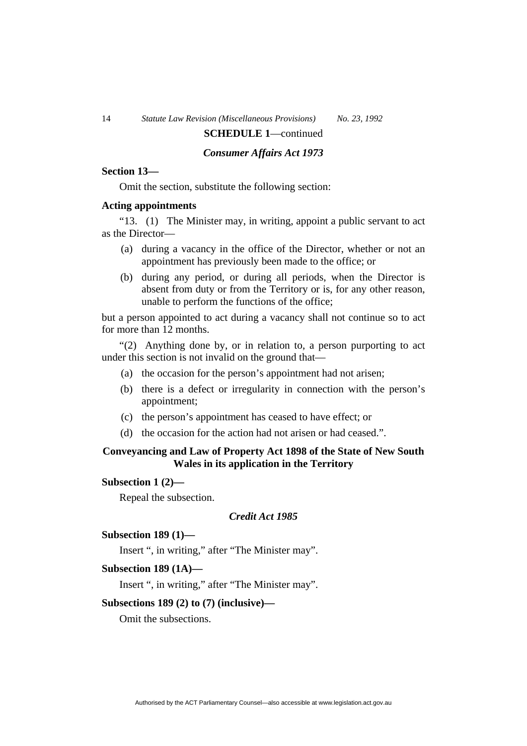# 14 *Statute Law Revision (Miscellaneous Provisions) No. 23, 1992*

# **SCHEDULE 1**—continued

# *Consumer Affairs Act 1973*

# **Section 13—**

Omit the section, substitute the following section:

#### **Acting appointments**

"13. (1) The Minister may, in writing, appoint a public servant to act as the Director—

- (a) during a vacancy in the office of the Director, whether or not an appointment has previously been made to the office; or
- (b) during any period, or during all periods, when the Director is absent from duty or from the Territory or is, for any other reason, unable to perform the functions of the office;

but a person appointed to act during a vacancy shall not continue so to act for more than 12 months.

"(2) Anything done by, or in relation to, a person purporting to act under this section is not invalid on the ground that—

- (a) the occasion for the person's appointment had not arisen;
- (b) there is a defect or irregularity in connection with the person's appointment;
- (c) the person's appointment has ceased to have effect; or
- (d) the occasion for the action had not arisen or had ceased.".

# **Conveyancing and Law of Property Act 1898 of the State of New South Wales in its application in the Territory**

# **Subsection 1 (2)—**

Repeal the subsection.

#### *Credit Act 1985*

#### **Subsection 189 (1)—**

Insert ", in writing," after "The Minister may".

#### **Subsection 189 (1A)—**

Insert ", in writing," after "The Minister may".

#### **Subsections 189 (2) to (7) (inclusive)—**

Omit the subsections.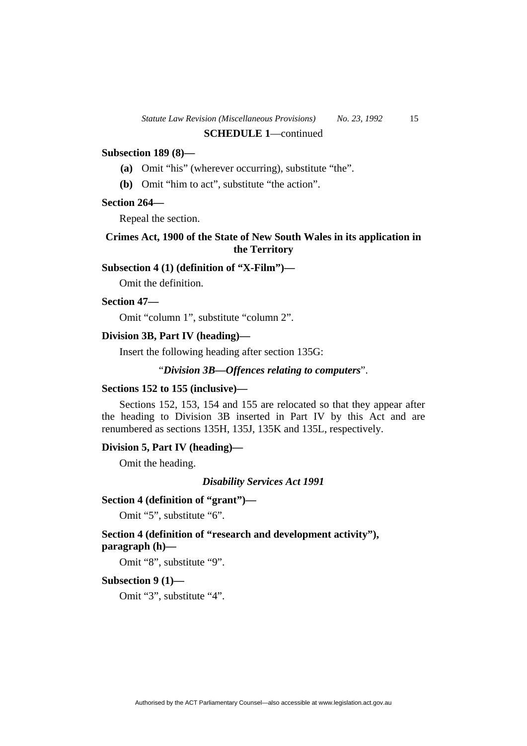# **Subsection 189 (8)—**

- **(a)** Omit "his" (wherever occurring), substitute "the".
- **(b)** Omit "him to act", substitute "the action".

# **Section 264—**

Repeal the section.

# **Crimes Act, 1900 of the State of New South Wales in its application in the Territory**

# **Subsection 4 (1) (definition of "X-Film")—**

Omit the definition.

#### **Section 47—**

Omit "column 1", substitute "column 2".

#### **Division 3B, Part IV (heading)—**

Insert the following heading after section 135G:

# "*Division 3B—Offences relating to computers*".

#### **Sections 152 to 155 (inclusive)—**

Sections 152, 153, 154 and 155 are relocated so that they appear after the heading to Division 3B inserted in Part IV by this Act and are renumbered as sections 135H, 135J, 135K and 135L, respectively.

#### **Division 5, Part IV (heading)—**

Omit the heading.

*Disability Services Act 1991* 

#### **Section 4 (definition of "grant")—**

Omit "5", substitute "6".

# **Section 4 (definition of "research and development activity"), paragraph (h)—**

Omit "8", substitute "9".

# **Subsection 9 (1)—**

Omit "3", substitute "4".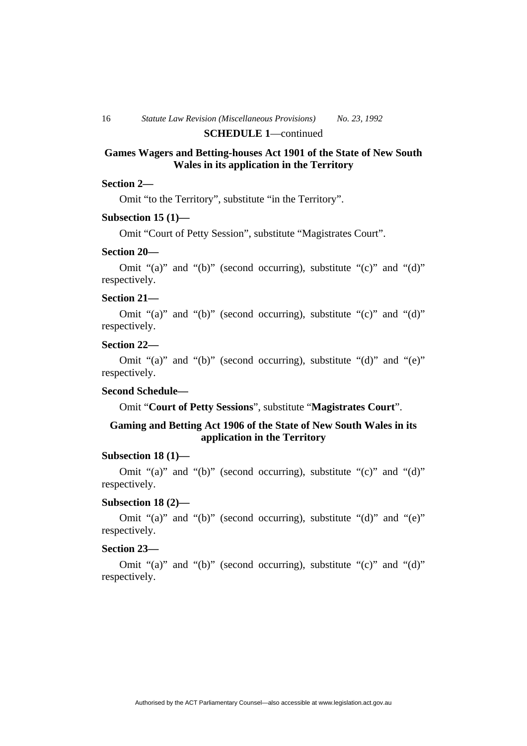# **SCHEDULE 1**—continued

# **Games Wagers and Betting-houses Act 1901 of the State of New South Wales in its application in the Territory**

#### **Section 2—**

Omit "to the Territory", substitute "in the Territory".

# **Subsection 15 (1)—**

Omit "Court of Petty Session", substitute "Magistrates Court".

#### **Section 20—**

Omit "(a)" and "(b)" (second occurring), substitute "(c)" and "(d)" respectively.

#### **Section 21—**

Omit "(a)" and "(b)" (second occurring), substitute "(c)" and "(d)" respectively.

# **Section 22—**

Omit "(a)" and "(b)" (second occurring), substitute "(d)" and "(e)" respectively.

#### **Second Schedule—**

Omit "**Court of Petty Sessions**", substitute "**Magistrates Court**".

# **Gaming and Betting Act 1906 of the State of New South Wales in its application in the Territory**

#### **Subsection 18 (1)—**

Omit "(a)" and "(b)" (second occurring), substitute "(c)" and "(d)" respectively.

#### **Subsection 18 (2)—**

Omit "(a)" and "(b)" (second occurring), substitute "(d)" and "(e)" respectively.

# **Section 23—**

Omit "(a)" and "(b)" (second occurring), substitute "(c)" and "(d)" respectively.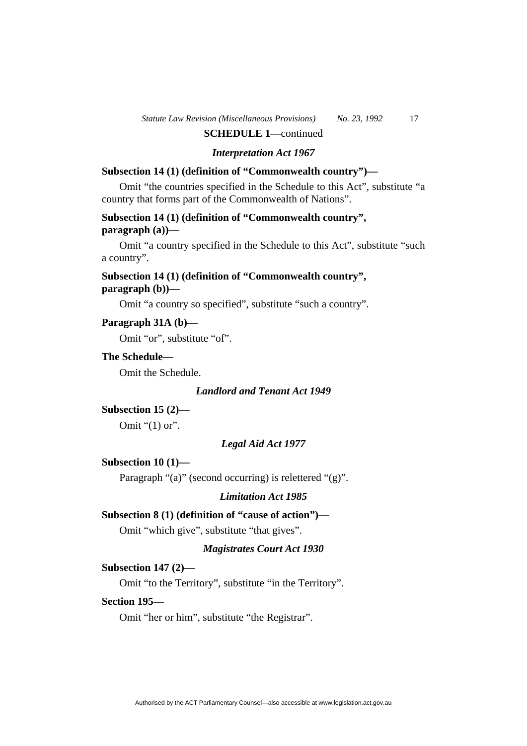#### *Interpretation Act 1967*

# **Subsection 14 (1) (definition of "Commonwealth country")—**

Omit "the countries specified in the Schedule to this Act", substitute "a country that forms part of the Commonwealth of Nations".

# **Subsection 14 (1) (definition of "Commonwealth country", paragraph (a))—**

Omit "a country specified in the Schedule to this Act", substitute "such a country".

# **Subsection 14 (1) (definition of "Commonwealth country", paragraph (b))—**

Omit "a country so specified", substitute "such a country".

#### **Paragraph 31A (b)—**

Omit "or", substitute "of".

# **The Schedule—**

Omit the Schedule.

#### *Landlord and Tenant Act 1949*

**Subsection 15 (2)—**  Omit "(1) or".

#### *Legal Aid Act 1977*

#### **Subsection 10 (1)—**

Paragraph "(a)" (second occurring) is relettered "(g)".

#### *Limitation Act 1985*

#### **Subsection 8 (1) (definition of "cause of action")—**

Omit "which give", substitute "that gives".

# *Magistrates Court Act 1930*

#### **Subsection 147 (2)—**

Omit "to the Territory", substitute "in the Territory".

# **Section 195—**

Omit "her or him", substitute "the Registrar".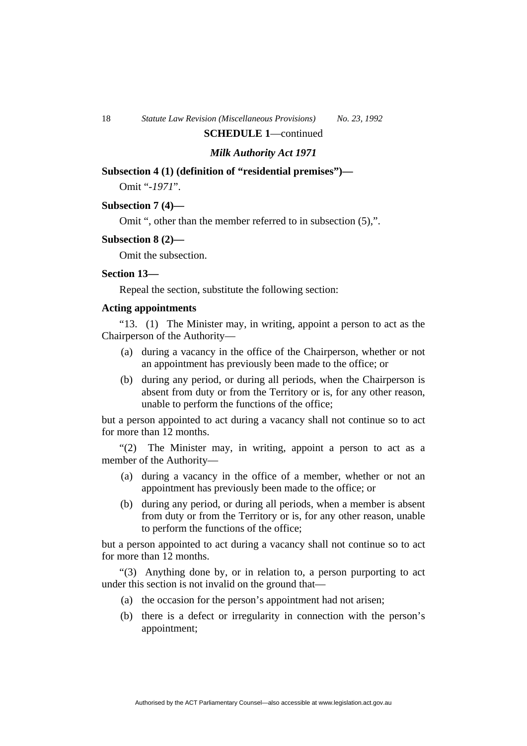# *Milk Authority Act 1971*

#### **Subsection 4 (1) (definition of "residential premises")—**

Omit "-*1971*".

#### **Subsection 7 (4)—**

Omit ", other than the member referred to in subsection (5),".

#### **Subsection 8 (2)—**

Omit the subsection.

#### **Section 13—**

Repeal the section, substitute the following section:

# **Acting appointments**

"13. (1) The Minister may, in writing, appoint a person to act as the Chairperson of the Authority—

- (a) during a vacancy in the office of the Chairperson, whether or not an appointment has previously been made to the office; or
- (b) during any period, or during all periods, when the Chairperson is absent from duty or from the Territory or is, for any other reason, unable to perform the functions of the office;

but a person appointed to act during a vacancy shall not continue so to act for more than 12 months.

"(2) The Minister may, in writing, appoint a person to act as a member of the Authority—

- (a) during a vacancy in the office of a member, whether or not an appointment has previously been made to the office; or
- (b) during any period, or during all periods, when a member is absent from duty or from the Territory or is, for any other reason, unable to perform the functions of the office;

but a person appointed to act during a vacancy shall not continue so to act for more than 12 months.

"(3) Anything done by, or in relation to, a person purporting to act under this section is not invalid on the ground that—

- (a) the occasion for the person's appointment had not arisen;
- (b) there is a defect or irregularity in connection with the person's appointment;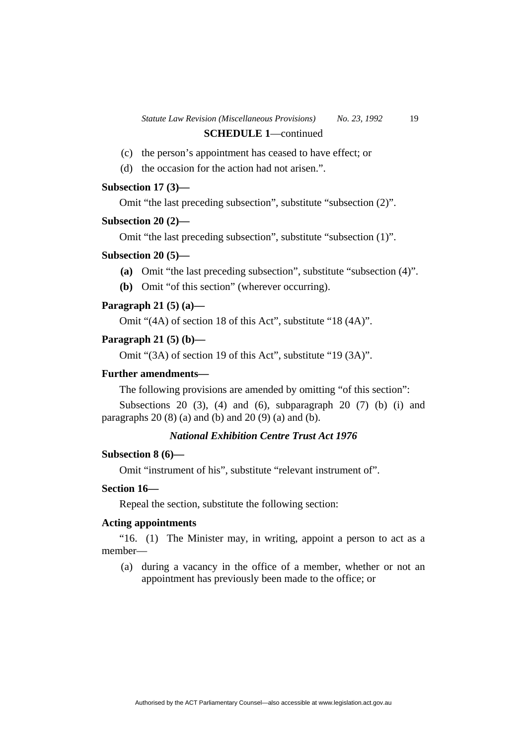- (c) the person's appointment has ceased to have effect; or
- (d) the occasion for the action had not arisen.".

# **Subsection 17 (3)—**

Omit "the last preceding subsection", substitute "subsection (2)".

#### **Subsection 20 (2)—**

Omit "the last preceding subsection", substitute "subsection (1)".

#### **Subsection 20 (5)—**

- **(a)** Omit "the last preceding subsection", substitute "subsection (4)".
- **(b)** Omit "of this section" (wherever occurring).

#### **Paragraph 21 (5) (a)—**

Omit "(4A) of section 18 of this Act", substitute "18 (4A)".

# **Paragraph 21 (5) (b)—**

Omit "(3A) of section 19 of this Act", substitute "19 (3A)".

# **Further amendments—**

The following provisions are amended by omitting "of this section":

Subsections 20 (3), (4) and (6), subparagraph 20 (7) (b) (i) and paragraphs  $20(8)(a)$  and (b) and  $20(9)(a)$  and (b).

# *National Exhibition Centre Trust Act 1976*

# **Subsection 8 (6)—**

Omit "instrument of his", substitute "relevant instrument of".

# **Section 16—**

Repeal the section, substitute the following section:

# **Acting appointments**

"16. (1) The Minister may, in writing, appoint a person to act as a member—

 (a) during a vacancy in the office of a member, whether or not an appointment has previously been made to the office; or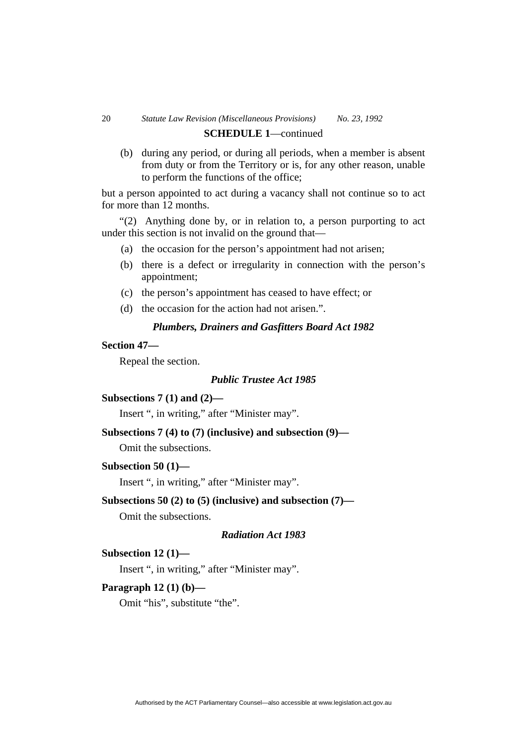# 20 *Statute Law Revision (Miscellaneous Provisions) No. 23, 1992*  **SCHEDULE 1**—continued

 (b) during any period, or during all periods, when a member is absent from duty or from the Territory or is, for any other reason, unable to perform the functions of the office;

but a person appointed to act during a vacancy shall not continue so to act for more than 12 months.

"(2) Anything done by, or in relation to, a person purporting to act under this section is not invalid on the ground that—

- (a) the occasion for the person's appointment had not arisen;
- (b) there is a defect or irregularity in connection with the person's appointment;
- (c) the person's appointment has ceased to have effect; or
- (d) the occasion for the action had not arisen.".

# *Plumbers, Drainers and Gasfitters Board Act 1982*

# **Section 47—**

Repeal the section.

# *Public Trustee Act 1985*

#### **Subsections 7 (1) and (2)—**

Insert ", in writing," after "Minister may".

# **Subsections 7 (4) to (7) (inclusive) and subsection (9)—**

Omit the subsections.

#### **Subsection 50 (1)—**

Insert ", in writing," after "Minister may".

# **Subsections 50 (2) to (5) (inclusive) and subsection (7)—**

Omit the subsections.

#### *Radiation Act 1983*

#### **Subsection 12 (1)—**

Insert ", in writing," after "Minister may".

# **Paragraph 12 (1) (b)—**

Omit "his", substitute "the".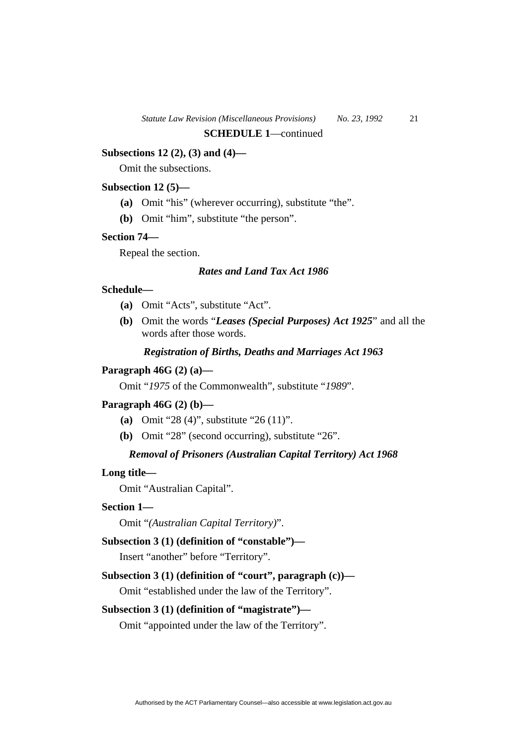# **Subsections 12 (2), (3) and (4)—**

Omit the subsections.

#### **Subsection 12 (5)—**

- **(a)** Omit "his" (wherever occurring), substitute "the".
- **(b)** Omit "him", substitute "the person".

#### **Section 74—**

Repeal the section.

# *Rates and Land Tax Act 1986*

# **Schedule—**

- **(a)** Omit "Acts", substitute "Act".
- **(b)** Omit the words "*Leases (Special Purposes) Act 1925*" and all the words after those words.

# *Registration of Births, Deaths and Marriages Act 1963*

#### **Paragraph 46G (2) (a)—**

Omit "*1975* of the Commonwealth", substitute "*1989*".

## **Paragraph 46G (2) (b)—**

- **(a)** Omit "28 (4)", substitute "26 (11)".
- **(b)** Omit "28" (second occurring), substitute "26".

# *Removal of Prisoners (Australian Capital Territory) Act 1968*

#### **Long title—**

Omit "Australian Capital".

#### **Section 1—**

Omit "*(Australian Capital Territory)*".

# **Subsection 3 (1) (definition of "constable")—**

Insert "another" before "Territory".

# **Subsection 3 (1) (definition of "court", paragraph (c))—**

Omit "established under the law of the Territory".

#### **Subsection 3 (1) (definition of "magistrate")—**

Omit "appointed under the law of the Territory".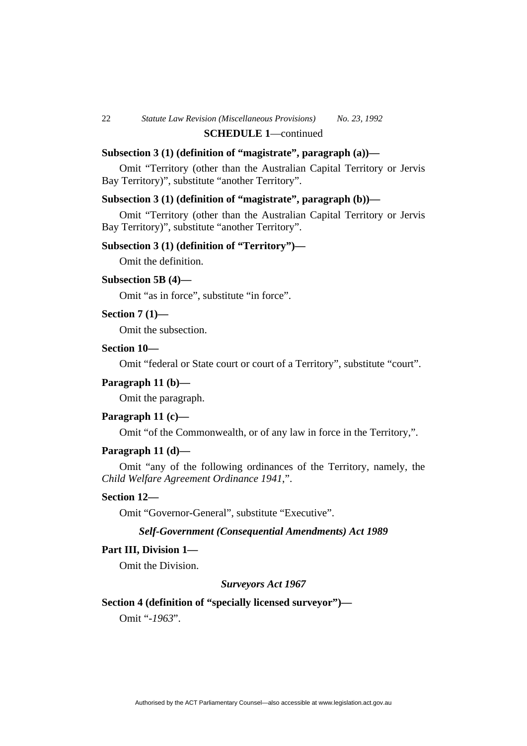# **Subsection 3 (1) (definition of "magistrate", paragraph (a))—**

Omit "Territory (other than the Australian Capital Territory or Jervis Bay Territory)", substitute "another Territory".

# **Subsection 3 (1) (definition of "magistrate", paragraph (b))—**

Omit "Territory (other than the Australian Capital Territory or Jervis Bay Territory)", substitute "another Territory".

#### **Subsection 3 (1) (definition of "Territory")—**

Omit the definition.

#### **Subsection 5B (4)—**

Omit "as in force", substitute "in force".

#### **Section 7 (1)—**

Omit the subsection.

# **Section 10—**

Omit "federal or State court or court of a Territory", substitute "court".

#### **Paragraph 11 (b)—**

Omit the paragraph.

#### **Paragraph 11 (c)—**

Omit "of the Commonwealth, or of any law in force in the Territory,".

# **Paragraph 11 (d)—**

Omit "any of the following ordinances of the Territory, namely, the *Child Welfare Agreement Ordinance 1941*,".

#### **Section 12—**

Omit "Governor-General", substitute "Executive".

#### *Self-Government (Consequential Amendments) Act 1989*

#### **Part III, Division 1—**

Omit the Division.

#### *Surveyors Act 1967*

#### **Section 4 (definition of "specially licensed surveyor")—**

Omit "*-1963*".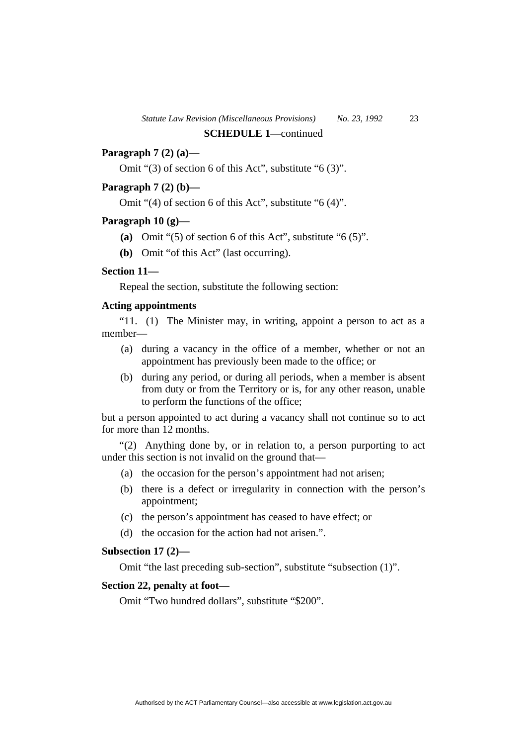# **Paragraph 7 (2) (a)—**

Omit "(3) of section 6 of this Act", substitute "6 (3)".

# **Paragraph 7 (2) (b)—**

Omit "(4) of section 6 of this Act", substitute "6 (4)".

#### **Paragraph 10 (g)—**

- **(a)** Omit "(5) of section 6 of this Act", substitute "6 (5)".
- **(b)** Omit "of this Act" (last occurring).

# **Section 11—**

Repeal the section, substitute the following section:

#### **Acting appointments**

"11. (1) The Minister may, in writing, appoint a person to act as a member—

- (a) during a vacancy in the office of a member, whether or not an appointment has previously been made to the office; or
- (b) during any period, or during all periods, when a member is absent from duty or from the Territory or is, for any other reason, unable to perform the functions of the office;

but a person appointed to act during a vacancy shall not continue so to act for more than 12 months.

"(2) Anything done by, or in relation to, a person purporting to act under this section is not invalid on the ground that—

- (a) the occasion for the person's appointment had not arisen;
- (b) there is a defect or irregularity in connection with the person's appointment;
- (c) the person's appointment has ceased to have effect; or
- (d) the occasion for the action had not arisen.".

#### **Subsection 17 (2)—**

Omit "the last preceding sub-section", substitute "subsection (1)".

# **Section 22, penalty at foot—**

Omit "Two hundred dollars", substitute "\$200".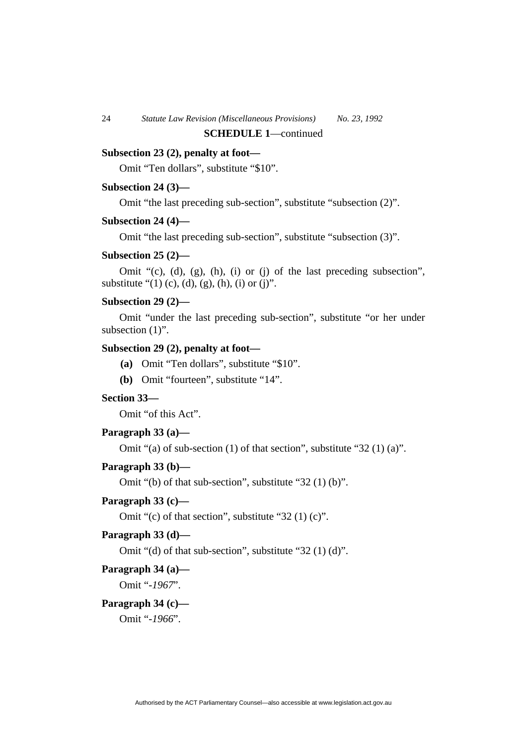# **Subsection 23 (2), penalty at foot—**

Omit "Ten dollars", substitute "\$10".

#### **Subsection 24 (3)—**

Omit "the last preceding sub-section", substitute "subsection (2)".

#### **Subsection 24 (4)—**

Omit "the last preceding sub-section", substitute "subsection (3)".

#### **Subsection 25 (2)—**

Omit "(c), (d), (g), (h), (i) or (j) of the last preceding subsection", substitute " $(1)$  (c), (d), (g), (h), (i) or (j)".

#### **Subsection 29 (2)—**

Omit "under the last preceding sub-section", substitute "or her under subsection  $(1)$ ".

# **Subsection 29 (2), penalty at foot—**

- **(a)** Omit "Ten dollars", substitute "\$10".
- **(b)** Omit "fourteen", substitute "14".

#### **Section 33—**

Omit "of this Act".

# **Paragraph 33 (a)—**

Omit "(a) of sub-section (1) of that section", substitute "32 (1) (a)".

#### **Paragraph 33 (b)—**

Omit "(b) of that sub-section", substitute "32 (1) (b)".

#### **Paragraph 33 (c)—**

Omit "(c) of that section", substitute "32 (1) (c)".

#### **Paragraph 33 (d)—**

Omit "(d) of that sub-section", substitute "32 (1) (d)".

#### **Paragraph 34 (a)—**

Omit "*-1967*".

#### **Paragraph 34 (c)—**

Omit "*-1966*".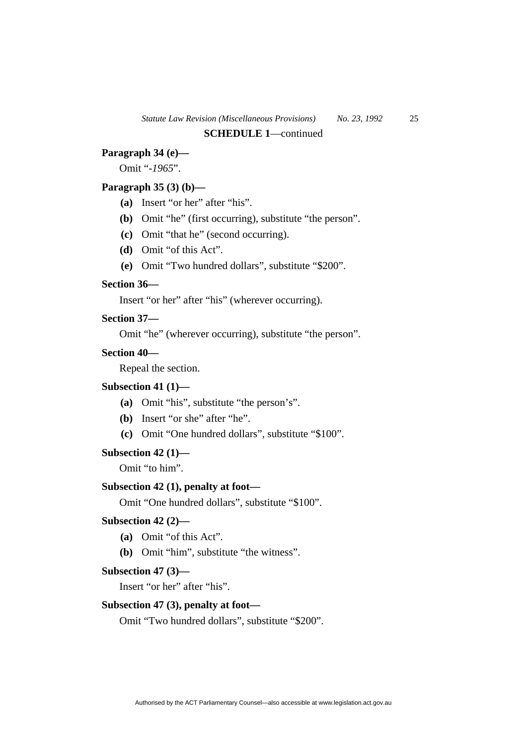# **Paragraph 34 (e)—**

Omit "*-1965*".

# **Paragraph 35 (3) (b)—**

- **(a)** Insert "or her" after "his".
- **(b)** Omit "he" (first occurring), substitute "the person".
- **(c)** Omit "that he" (second occurring).
- **(d)** Omit "of this Act".
- **(e)** Omit "Two hundred dollars", substitute "\$200".

#### **Section 36—**

Insert "or her" after "his" (wherever occurring).

#### **Section 37—**

Omit "he" (wherever occurring), substitute "the person".

# **Section 40—**

Repeal the section.

# **Subsection 41 (1)—**

- **(a)** Omit "his", substitute "the person's".
- **(b)** Insert "or she" after "he".
- **(c)** Omit "One hundred dollars", substitute "\$100".

#### **Subsection 42 (1)—**

Omit "to him".

#### **Subsection 42 (1), penalty at foot—**

Omit "One hundred dollars", substitute "\$100".

# **Subsection 42 (2)—**

- **(a)** Omit "of this Act".
- **(b)** Omit "him", substitute "the witness".

#### **Subsection 47 (3)—**

Insert "or her" after "his".

# **Subsection 47 (3), penalty at foot—**

Omit "Two hundred dollars", substitute "\$200".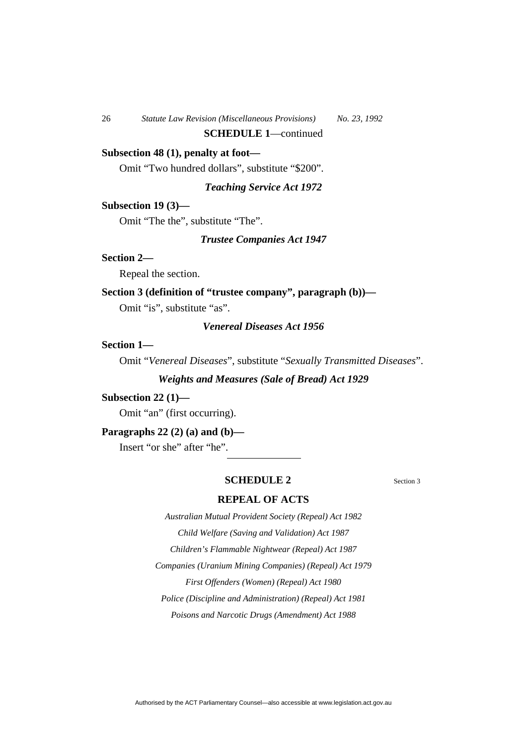# **Subsection 48 (1), penalty at foot—**

Omit "Two hundred dollars", substitute "\$200".

#### *Teaching Service Act 1972*

#### **Subsection 19 (3)—**

Omit "The the", substitute "The".

*Trustee Companies Act 1947* 

#### **Section 2—**

Repeal the section.

#### **Section 3 (definition of "trustee company", paragraph (b))—**

Omit "is", substitute "as".

# *Venereal Diseases Act 1956*

# **Section 1—**

Omit "*Venereal Diseases*", substitute "*Sexually Transmitted Diseases*".

#### *Weights and Measures (Sale of Bread) Act 1929*

#### **Subsection 22 (1)—**

Omit "an" (first occurring).

#### **Paragraphs 22 (2) (a) and (b)—**

Insert "or she" after "he".

#### **SCHEDULE 2** Section 3

# **REPEAL OF ACTS**

*Australian Mutual Provident Society (Repeal) Act 1982 Child Welfare (Saving and Validation) Act 1987 Children's Flammable Nightwear (Repeal) Act 1987 Companies (Uranium Mining Companies) (Repeal) Act 1979 First Offenders (Women) (Repeal) Act 1980 Police (Discipline and Administration) (Repeal) Act 1981* 

*Poisons and Narcotic Drugs (Amendment) Act 1988*